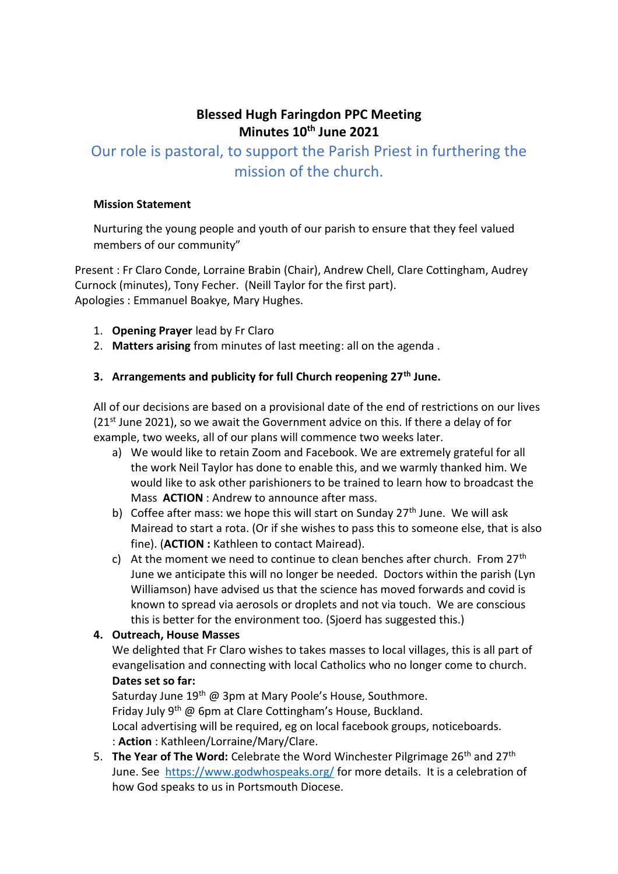# **Blessed Hugh Faringdon PPC Meeting Minutes 10th June 2021**

# Our role is pastoral, to support the Parish Priest in furthering the mission of the church.

#### **Mission Statement**

Nurturing the young people and youth of our parish to ensure that they feel valued members of our community"

Present : Fr Claro Conde, Lorraine Brabin (Chair), Andrew Chell, Clare Cottingham, Audrey Curnock (minutes), Tony Fecher. (Neill Taylor for the first part). Apologies : Emmanuel Boakye, Mary Hughes.

- 1. **Opening Prayer** lead by Fr Claro
- 2. **Matters arising** from minutes of last meeting: all on the agenda .

#### **3. Arrangements and publicity for full Church reopening 27th June.**

All of our decisions are based on a provisional date of the end of restrictions on our lives  $(21^{st})$  June 2021), so we await the Government advice on this. If there a delay of for example, two weeks, all of our plans will commence two weeks later.

- a) We would like to retain Zoom and Facebook. We are extremely grateful for all the work Neil Taylor has done to enable this, and we warmly thanked him. We would like to ask other parishioners to be trained to learn how to broadcast the Mass **ACTION** : Andrew to announce after mass.
- b) Coffee after mass: we hope this will start on Sunday  $27<sup>th</sup>$  June. We will ask Mairead to start a rota. (Or if she wishes to pass this to someone else, that is also fine). (**ACTION :** Kathleen to contact Mairead).
- c) At the moment we need to continue to clean benches after church. From  $27<sup>th</sup>$ June we anticipate this will no longer be needed. Doctors within the parish (Lyn Williamson) have advised us that the science has moved forwards and covid is known to spread via aerosols or droplets and not via touch. We are conscious this is better for the environment too. (Sjoerd has suggested this.)

#### **4. Outreach, House Masses**

We delighted that Fr Claro wishes to takes masses to local villages, this is all part of evangelisation and connecting with local Catholics who no longer come to church. **Dates set so far:**

Saturday June 19<sup>th</sup> @ 3pm at Mary Poole's House, Southmore. Friday July 9<sup>th</sup> @ 6pm at Clare Cottingham's House, Buckland. Local advertising will be required, eg on local facebook groups, noticeboards. : **Action** : Kathleen/Lorraine/Mary/Clare.

5. **The Year of The Word:** Celebrate the Word Winchester Pilgrimage 26th and 27th June. See <https://www.godwhospeaks.org/> for more details. It is a celebration of how God speaks to us in Portsmouth Diocese.